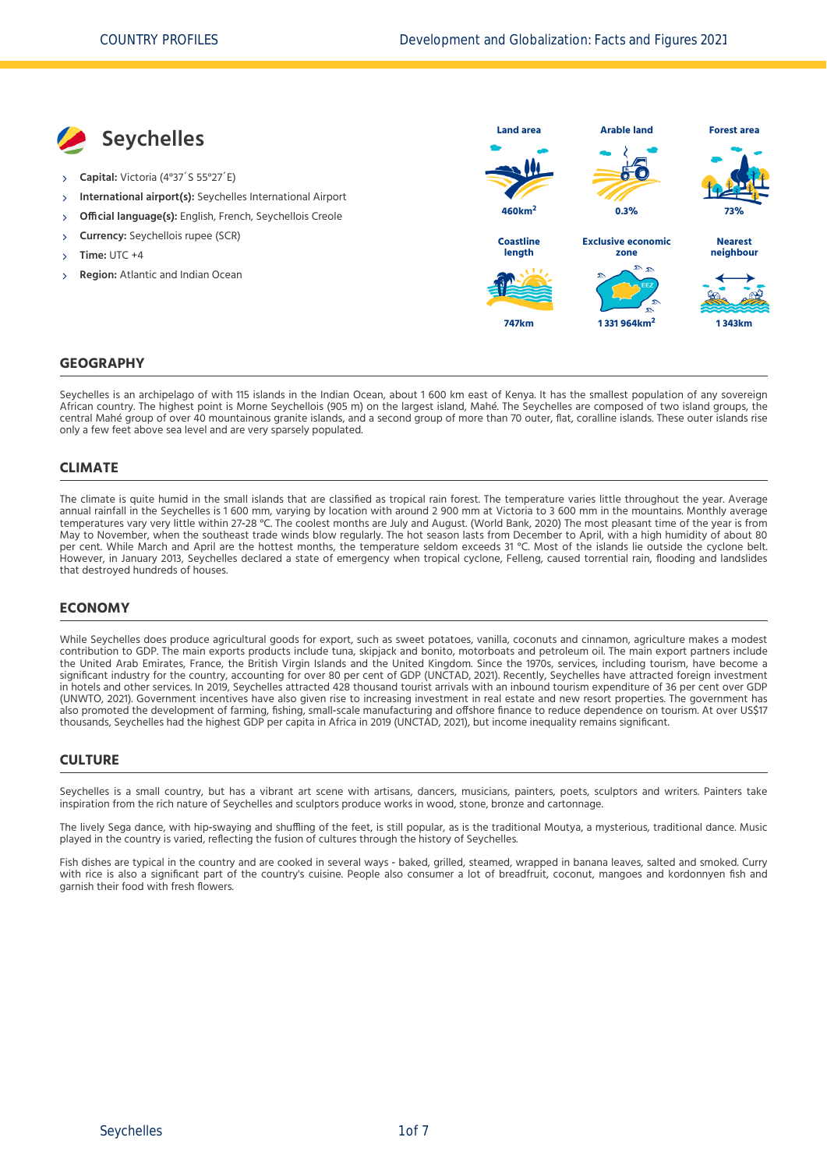

### **GEOGRAPHY**

Seychelles is an archipelago of with 115 islands in the Indian Ocean, about 1 600 km east of Kenya. It has the smallest population of any sovereign African country. The highest point is Morne Seychellois (905 m) on the largest island, Mahé. The Seychelles are composed of two island groups, the central Mahé group of over 40 mountainous granite islands, and a second group of more than 70 outer, flat, coralline islands. These outer islands rise only a few feet above sea level and are very sparsely populated.

### **CLIMATE**

The climate is quite humid in the small islands that are classified as tropical rain forest. The temperature varies little throughout the year. Average annual rainfall in the Seychelles is 1 600 mm, varying by location with around 2 900 mm at Victoria to 3 600 mm in the mountains. Monthly average temperatures vary very little within 27‐28 °C. The coolest months are July and August. [\(World Bank, 2020\)](#page-6-0) The most pleasant time of the year is from May to November, when the southeast trade winds blow regularly. The hot season lasts from December to April, with a high humidity of about 80 per cent. While March and April are the hottest months, the temperature seldom exceeds 31 °C. Most of the islands lie outside the cyclone belt. However, in January 2013, Seychelles declared a state of emergency when tropical cyclone, Felleng, caused torrential rain, flooding and landslides that destroyed hundreds of houses.

### **ECONOMY**

While Seychelles does produce agricultural goods for export, such as sweet potatoes, vanilla, coconuts and cinnamon, agriculture makes a modest contribution to GDP. The main exports products include tuna, skipjack and bonito, motorboats and petroleum oil. The main export partners include the United Arab Emirates, France, the British Virgin Islands and the United Kingdom. Since the 1970s, services, including tourism, have become a significant industry for the country, accounting for over 80 per cent of GDP [\(UNCTAD, 2021\)](#page-6-1). Recently, Seychelles have attracted foreign investment in hotels and other services. In 2019, Seychelles attracted 428 thousand tourist arrivals with an inbound tourism expenditure of 36 per cent over GDP [\(UNWTO, 2021\)](#page-6-2). Government incentives have also given rise to increasing investment in real estate and new resort properties. The government has also promoted the development of farming, fishing, small-scale manufacturing and offshore finance to reduce dependence on tourism. At over US\$17 thousands, Seychelles had the highest GDP per capita in Africa in 2019 [\(UNCTAD, 2021\),](#page-6-1) but income inequality remains significant.

#### **CULTURE**

Seychelles is a small country, but has a vibrant art scene with artisans, dancers, musicians, painters, poets, sculptors and writers. Painters take inspiration from the rich nature of Seychelles and sculptors produce works in wood, stone, bronze and cartonnage.

The lively Sega dance, with hip-swaying and shuffling of the feet, is still popular, as is the traditional Moutya, a mysterious, traditional dance. Music played in the country is varied, reflecting the fusion of cultures through the history of Seychelles.

Fish dishes are typical in the country and are cooked in several ways - baked, grilled, steamed, wrapped in banana leaves, salted and smoked. Curry with rice is also a significant part of the country's cuisine. People also consumer a lot of breadfruit, coconut, mangoes and kordonnyen fish and garnish their food with fresh flowers.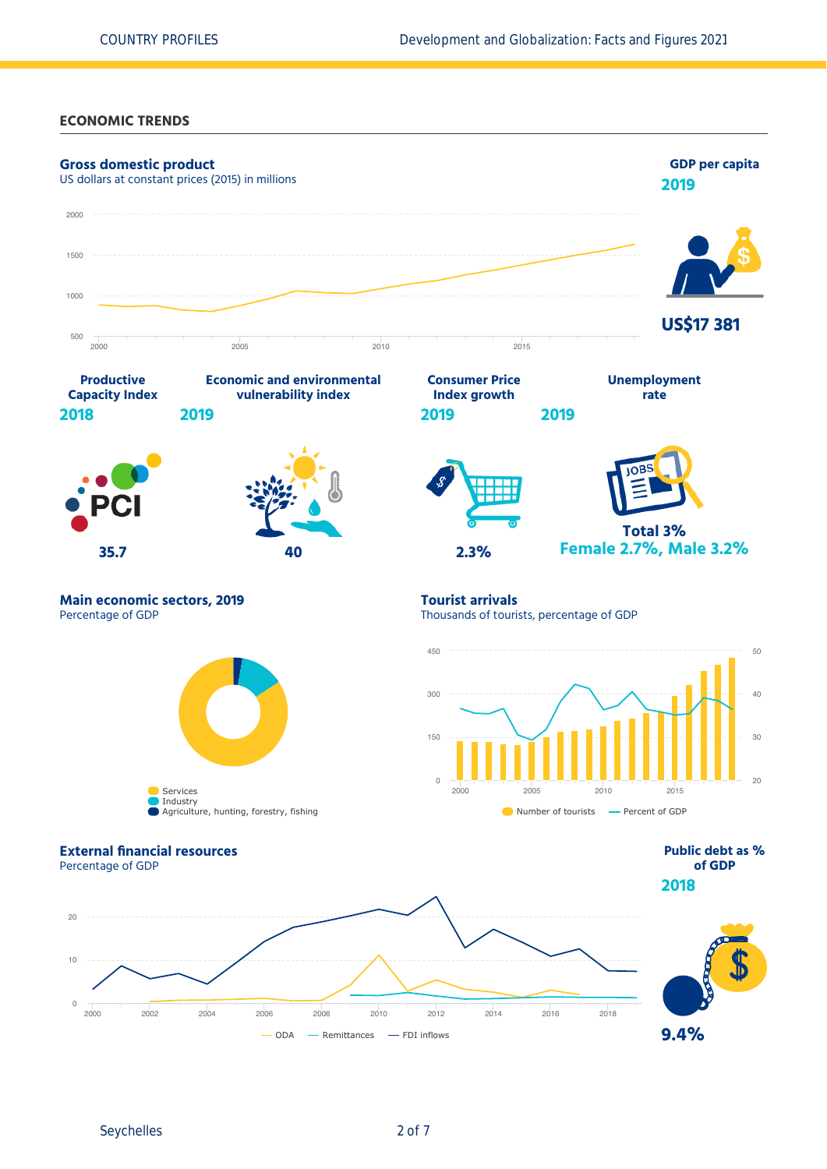### **ECONOMIC TRENDS**



Seychelles 2 of 7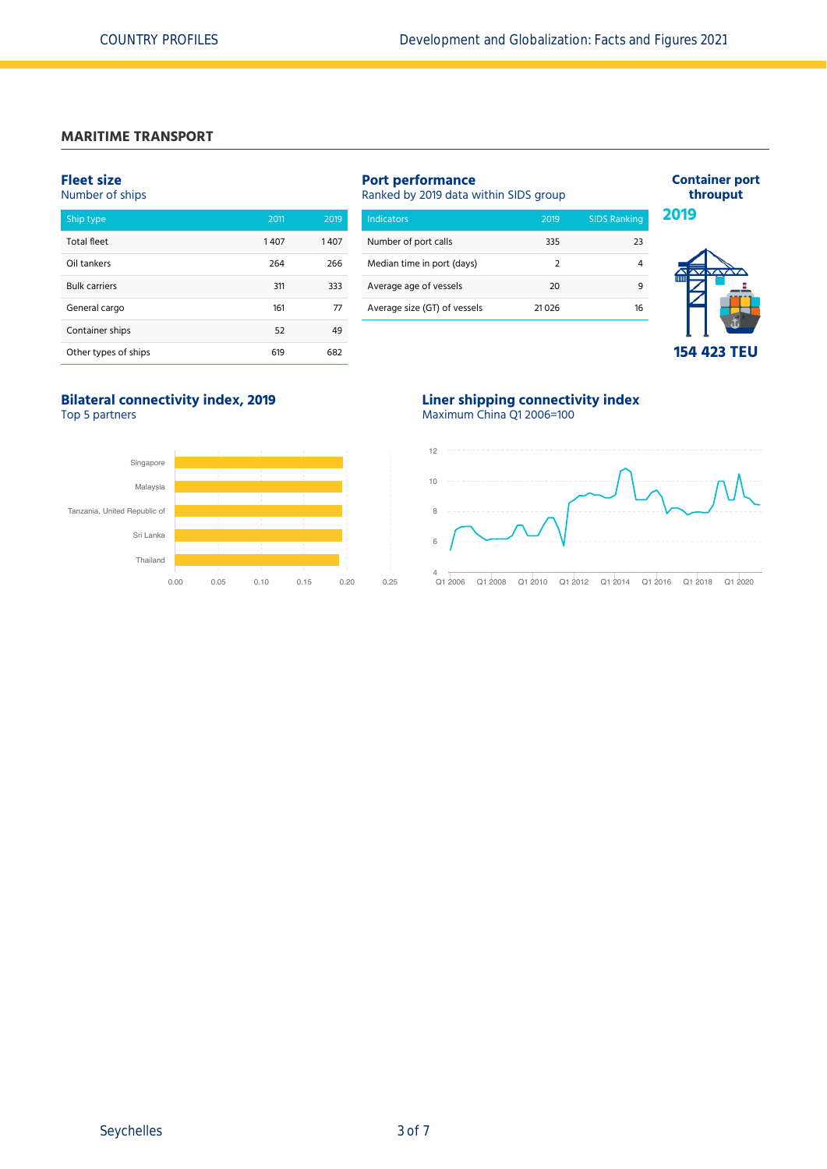### **MARITIME TRANSPORT**

### **Fleet size**

# Number of ships

| Ship type            | 2011 | 2019 |
|----------------------|------|------|
| <b>Total fleet</b>   | 1407 | 1407 |
| Oil tankers          | 264  | 266  |
| <b>Bulk carriers</b> | 311  | 333  |
| General cargo        | 161  | 77   |
| Container ships      | 52   | 49   |
| Other types of ships | 619  | 682  |

| <b>Indicators</b>            | 2019          | <b>SIDS Ranking</b> |
|------------------------------|---------------|---------------------|
| Number of port calls         | 335           | 23                  |
| Median time in port (days)   | $\mathcal{P}$ | 4                   |
| Average age of vessels       | 20            | 9                   |
| Average size (GT) of vessels | 21 026        | 16                  |



**Container port throuput**

# **Bilateral connectivity index, 2019**

Top 5 partners



### **Liner shipping connectivity index** Maximum China Q1 2006=100

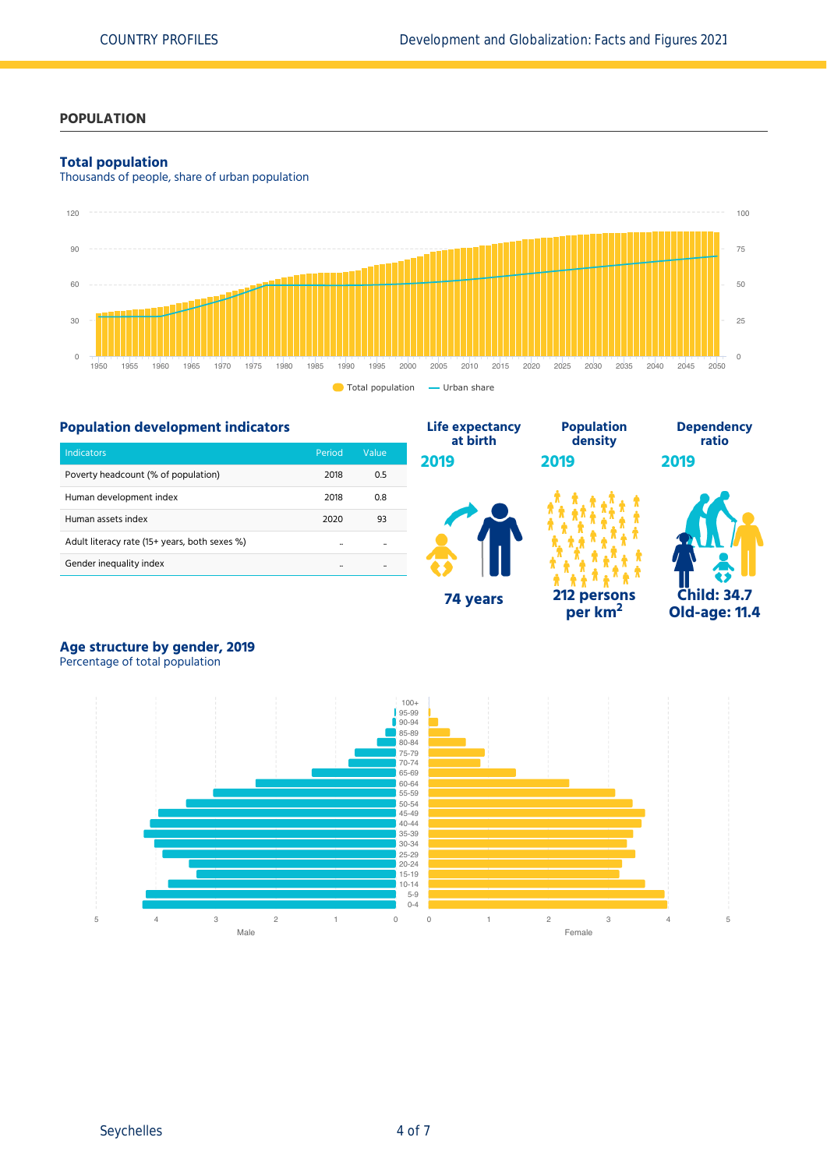## **POPULATION**

### **Total population**

Thousands of people, share of urban population



# **Population development indicators**

| <b>Indicators</b>                             | Period | Value |
|-----------------------------------------------|--------|-------|
| Poverty headcount (% of population)           | 2018   | 0.5   |
| Human development index                       | 2018   | 0.8   |
| Human assets index                            | 2020   | 93    |
| Adult literacy rate (15+ years, both sexes %) |        |       |
| Gender inequality index                       |        |       |



**per km<sup>2</sup>**



# **Age structure by gender, 2019**

Percentage of total population

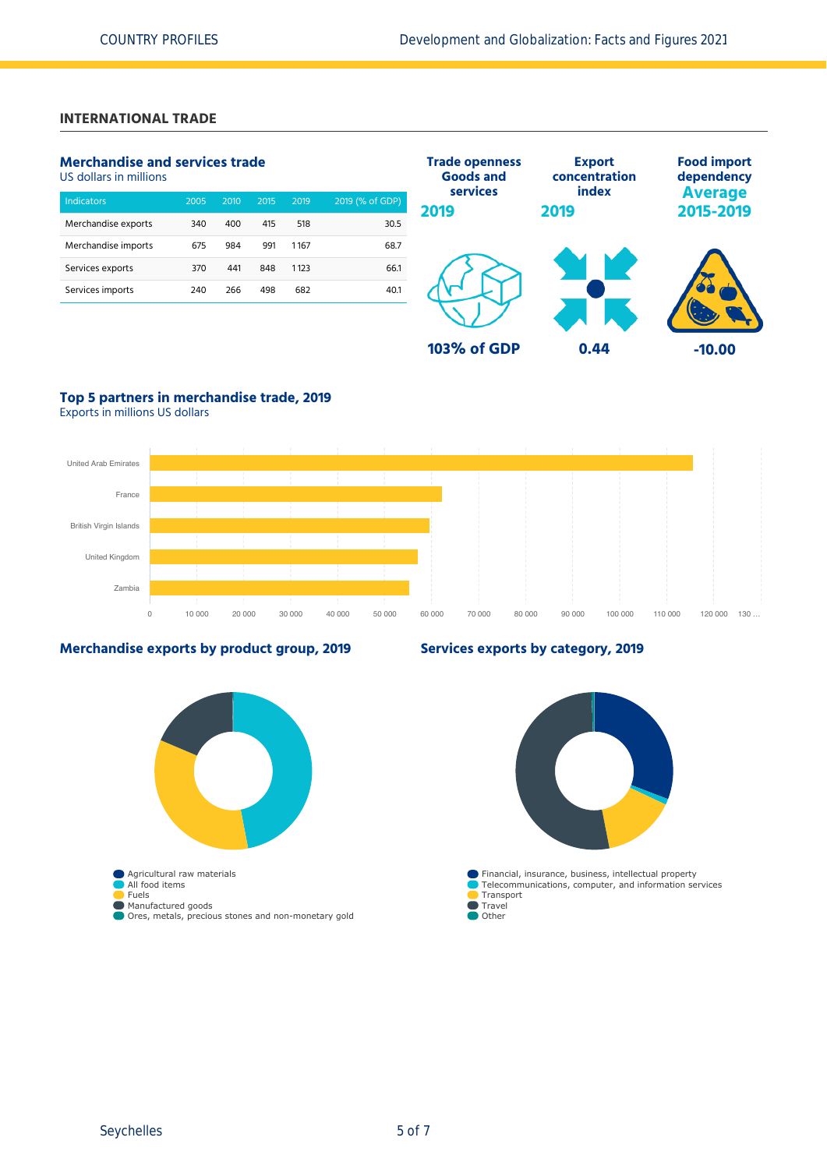# **INTERNATIONAL TRADE**

# **Merchandise and services trade**

US dollars in millions

| <b>Indicators</b>   | 2005 | 2010 | 2015 | 2019 | 2019 (% of GDP) |
|---------------------|------|------|------|------|-----------------|
| Merchandise exports | 340  | 400  | 415  | 518  | 30.5            |
| Merchandise imports | 675  | 984  | 991  | 1167 | 68.7            |
| Services exports    | 370  | 441  | 848  | 1123 | 66.1            |
| Services imports    | 240  | 266  | 498  | 682  | 40.1            |
|                     |      |      |      |      |                 |



# **Top 5 partners in merchandise trade, 2019**

Exports in millions US dollars



### **Merchandise exports by product group, 2019**

# **Agricultural raw materials** All food items Fuels Manufactured goods Ores, metals, precious stones and non-monetary gold

### **Services exports by category, 2019**

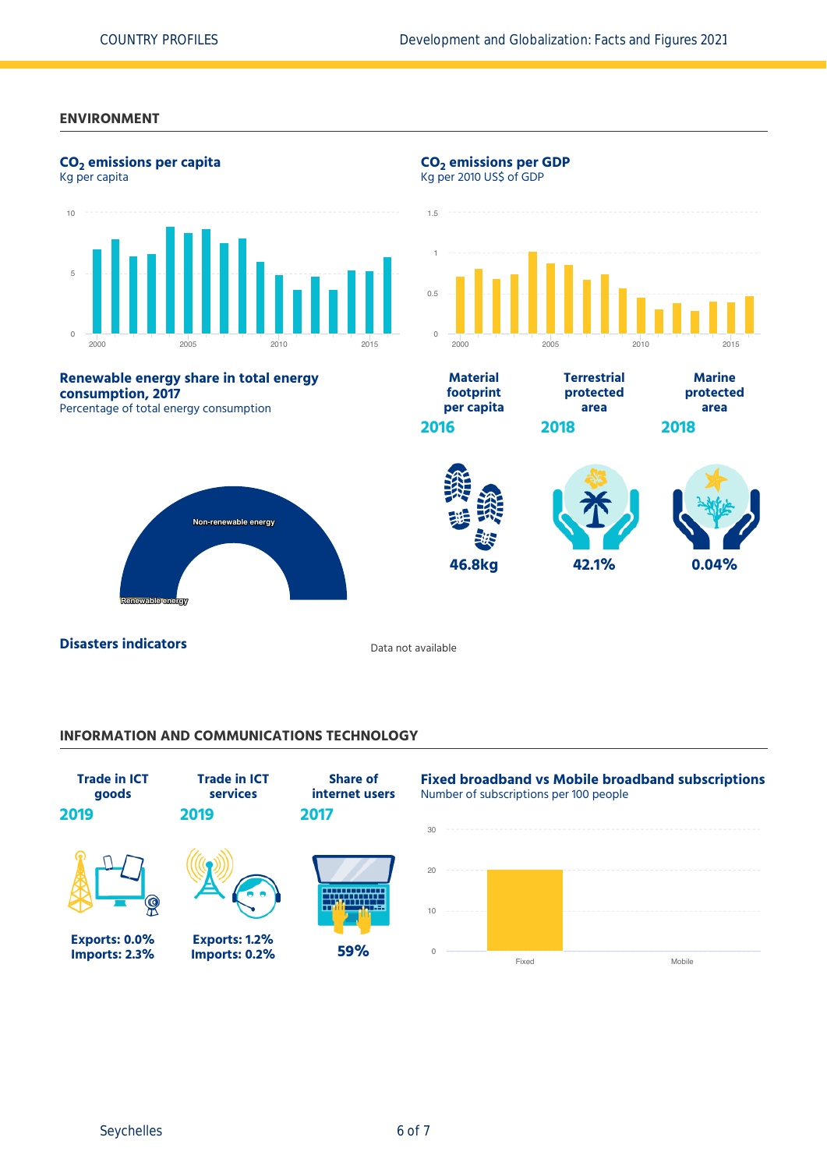### **ENVIRONMENT**



### **INFORMATION AND COMMUNICATIONS TECHNOLOGY**